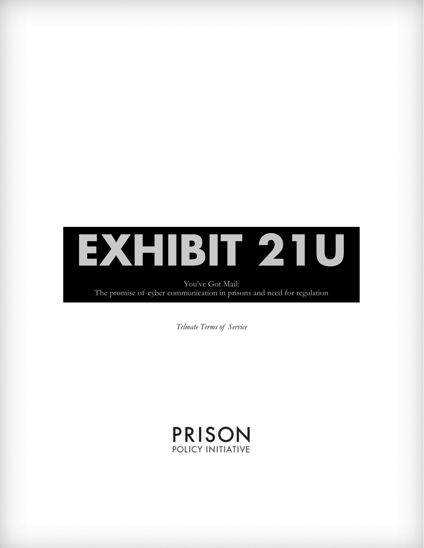

You've Got Mail: The promise of cyber communication in prisons and need for regulation

*Telmate Terms of Service*

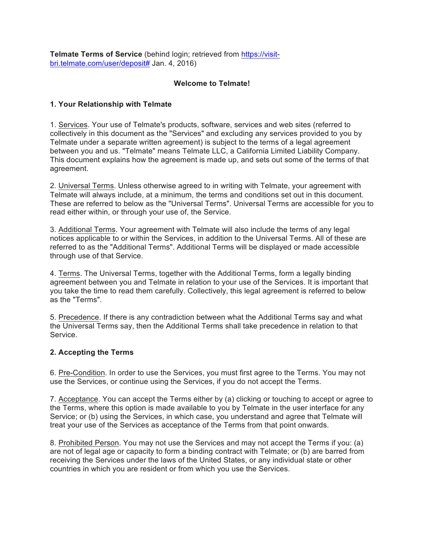**Telmate Terms of Service** (behind login; retrieved from https://visitbri.telmate.com/user/deposit# Jan. 4, 2016)

### **Welcome to Telmate!**

### **1. Your Relationship with Telmate**

1. Services. Your use of Telmate's products, software, services and web sites (referred to collectively in this document as the "Services" and excluding any services provided to you by Telmate under a separate written agreement) is subject to the terms of a legal agreement between you and us. "Telmate" means Telmate LLC, a California Limited Liability Company. This document explains how the agreement is made up, and sets out some of the terms of that agreement.

2. Universal Terms. Unless otherwise agreed to in writing with Telmate, your agreement with Telmate will always include, at a minimum, the terms and conditions set out in this document. These are referred to below as the "Universal Terms". Universal Terms are accessible for you to read either within, or through your use of, the Service.

3. Additional Terms. Your agreement with Telmate will also include the terms of any legal notices applicable to or within the Services, in addition to the Universal Terms. All of these are referred to as the "Additional Terms". Additional Terms will be displayed or made accessible through use of that Service.

4. Terms. The Universal Terms, together with the Additional Terms, form a legally binding agreement between you and Telmate in relation to your use of the Services. It is important that you take the time to read them carefully. Collectively, this legal agreement is referred to below as the "Terms".

5. Precedence. If there is any contradiction between what the Additional Terms say and what the Universal Terms say, then the Additional Terms shall take precedence in relation to that Service.

### **2. Accepting the Terms**

6. Pre-Condition. In order to use the Services, you must first agree to the Terms. You may not use the Services, or continue using the Services, if you do not accept the Terms.

7. Acceptance. You can accept the Terms either by (a) clicking or touching to accept or agree to the Terms, where this option is made available to you by Telmate in the user interface for any Service; or (b) using the Services, in which case, you understand and agree that Telmate will treat your use of the Services as acceptance of the Terms from that point onwards.

8. Prohibited Person. You may not use the Services and may not accept the Terms if you: (a) are not of legal age or capacity to form a binding contract with Telmate; or (b) are barred from receiving the Services under the laws of the United States, or any individual state or other countries in which you are resident or from which you use the Services.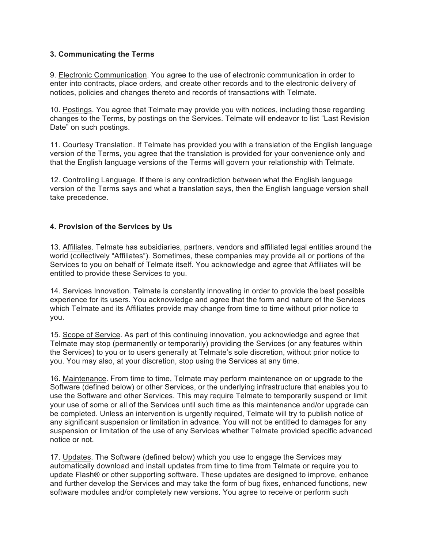#### **3. Communicating the Terms**

9. Electronic Communication. You agree to the use of electronic communication in order to enter into contracts, place orders, and create other records and to the electronic delivery of notices, policies and changes thereto and records of transactions with Telmate.

10. Postings. You agree that Telmate may provide you with notices, including those regarding changes to the Terms, by postings on the Services. Telmate will endeavor to list "Last Revision Date" on such postings.

11. Courtesy Translation. If Telmate has provided you with a translation of the English language version of the Terms, you agree that the translation is provided for your convenience only and that the English language versions of the Terms will govern your relationship with Telmate.

12. Controlling Language. If there is any contradiction between what the English language version of the Terms says and what a translation says, then the English language version shall take precedence.

#### **4. Provision of the Services by Us**

13. Affiliates. Telmate has subsidiaries, partners, vendors and affiliated legal entities around the world (collectively "Affiliates"). Sometimes, these companies may provide all or portions of the Services to you on behalf of Telmate itself. You acknowledge and agree that Affiliates will be entitled to provide these Services to you.

14. Services Innovation. Telmate is constantly innovating in order to provide the best possible experience for its users. You acknowledge and agree that the form and nature of the Services which Telmate and its Affiliates provide may change from time to time without prior notice to you.

15. Scope of Service. As part of this continuing innovation, you acknowledge and agree that Telmate may stop (permanently or temporarily) providing the Services (or any features within the Services) to you or to users generally at Telmate's sole discretion, without prior notice to you. You may also, at your discretion, stop using the Services at any time.

16. Maintenance. From time to time, Telmate may perform maintenance on or upgrade to the Software (defined below) or other Services, or the underlying infrastructure that enables you to use the Software and other Services. This may require Telmate to temporarily suspend or limit your use of some or all of the Services until such time as this maintenance and/or upgrade can be completed. Unless an intervention is urgently required, Telmate will try to publish notice of any significant suspension or limitation in advance. You will not be entitled to damages for any suspension or limitation of the use of any Services whether Telmate provided specific advanced notice or not.

17. Updates. The Software (defined below) which you use to engage the Services may automatically download and install updates from time to time from Telmate or require you to update Flash® or other supporting software. These updates are designed to improve, enhance and further develop the Services and may take the form of bug fixes, enhanced functions, new software modules and/or completely new versions. You agree to receive or perform such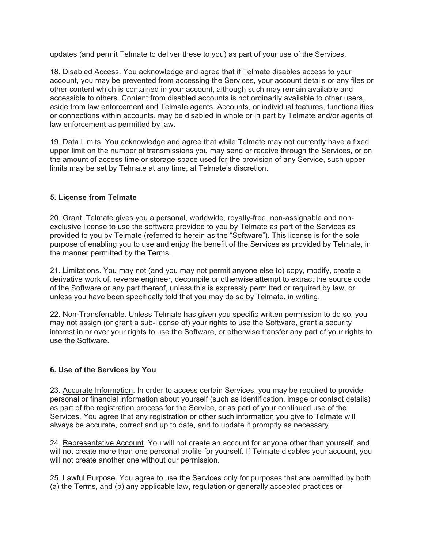updates (and permit Telmate to deliver these to you) as part of your use of the Services.

18. Disabled Access. You acknowledge and agree that if Telmate disables access to your account, you may be prevented from accessing the Services, your account details or any files or other content which is contained in your account, although such may remain available and accessible to others. Content from disabled accounts is not ordinarily available to other users, aside from law enforcement and Telmate agents. Accounts, or individual features, functionalities or connections within accounts, may be disabled in whole or in part by Telmate and/or agents of law enforcement as permitted by law.

19. Data Limits. You acknowledge and agree that while Telmate may not currently have a fixed upper limit on the number of transmissions you may send or receive through the Services, or on the amount of access time or storage space used for the provision of any Service, such upper limits may be set by Telmate at any time, at Telmate's discretion.

### **5. License from Telmate**

20. Grant. Telmate gives you a personal, worldwide, royalty-free, non-assignable and nonexclusive license to use the software provided to you by Telmate as part of the Services as provided to you by Telmate (referred to herein as the "Software"). This license is for the sole purpose of enabling you to use and enjoy the benefit of the Services as provided by Telmate, in the manner permitted by the Terms.

21. Limitations. You may not (and you may not permit anyone else to) copy, modify, create a derivative work of, reverse engineer, decompile or otherwise attempt to extract the source code of the Software or any part thereof, unless this is expressly permitted or required by law, or unless you have been specifically told that you may do so by Telmate, in writing.

22. Non-Transferrable. Unless Telmate has given you specific written permission to do so, you may not assign (or grant a sub-license of) your rights to use the Software, grant a security interest in or over your rights to use the Software, or otherwise transfer any part of your rights to use the Software.

# **6. Use of the Services by You**

23. Accurate Information. In order to access certain Services, you may be required to provide personal or financial information about yourself (such as identification, image or contact details) as part of the registration process for the Service, or as part of your continued use of the Services. You agree that any registration or other such information you give to Telmate will always be accurate, correct and up to date, and to update it promptly as necessary.

24. Representative Account. You will not create an account for anyone other than yourself, and will not create more than one personal profile for yourself. If Telmate disables your account, you will not create another one without our permission.

25. Lawful Purpose. You agree to use the Services only for purposes that are permitted by both (a) the Terms, and (b) any applicable law, regulation or generally accepted practices or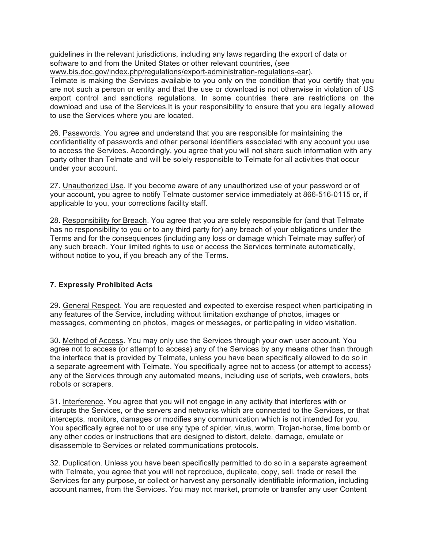guidelines in the relevant jurisdictions, including any laws regarding the export of data or software to and from the United States or other relevant countries, (see www.bis.doc.gov/index.php/regulations/export-administration-regulations-ear).

Telmate is making the Services available to you only on the condition that you certify that you are not such a person or entity and that the use or download is not otherwise in violation of US export control and sanctions regulations. In some countries there are restrictions on the download and use of the Services.It is your responsibility to ensure that you are legally allowed to use the Services where you are located.

26. Passwords. You agree and understand that you are responsible for maintaining the confidentiality of passwords and other personal identifiers associated with any account you use to access the Services. Accordingly, you agree that you will not share such information with any party other than Telmate and will be solely responsible to Telmate for all activities that occur under your account.

27. Unauthorized Use. If you become aware of any unauthorized use of your password or of your account, you agree to notify Telmate customer service immediately at 866-516-0115 or, if applicable to you, your corrections facility staff.

28. Responsibility for Breach. You agree that you are solely responsible for (and that Telmate has no responsibility to you or to any third party for) any breach of your obligations under the Terms and for the consequences (including any loss or damage which Telmate may suffer) of any such breach. Your limited rights to use or access the Services terminate automatically, without notice to you, if you breach any of the Terms.

### **7. Expressly Prohibited Acts**

29. General Respect. You are requested and expected to exercise respect when participating in any features of the Service, including without limitation exchange of photos, images or messages, commenting on photos, images or messages, or participating in video visitation.

30. Method of Access. You may only use the Services through your own user account. You agree not to access (or attempt to access) any of the Services by any means other than through the interface that is provided by Telmate, unless you have been specifically allowed to do so in a separate agreement with Telmate. You specifically agree not to access (or attempt to access) any of the Services through any automated means, including use of scripts, web crawlers, bots robots or scrapers.

31. Interference. You agree that you will not engage in any activity that interferes with or disrupts the Services, or the servers and networks which are connected to the Services, or that intercepts, monitors, damages or modifies any communication which is not intended for you. You specifically agree not to or use any type of spider, virus, worm, Trojan-horse, time bomb or any other codes or instructions that are designed to distort, delete, damage, emulate or disassemble to Services or related communications protocols.

32. Duplication. Unless you have been specifically permitted to do so in a separate agreement with Telmate, you agree that you will not reproduce, duplicate, copy, sell, trade or resell the Services for any purpose, or collect or harvest any personally identifiable information, including account names, from the Services. You may not market, promote or transfer any user Content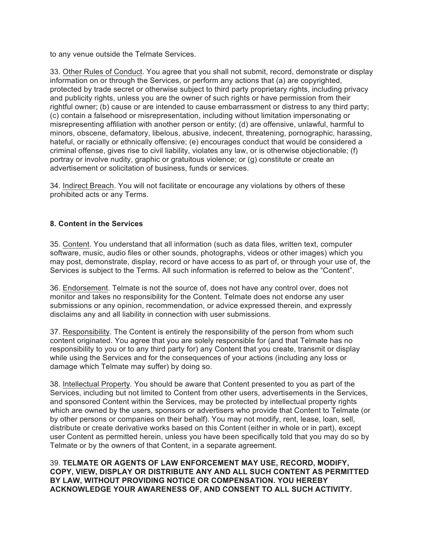to any venue outside the Telmate Services.

33. Other Rules of Conduct. You agree that you shall not submit, record, demonstrate or display information on or through the Services, or perform any actions that (a) are copyrighted, protected by trade secret or otherwise subject to third party proprietary rights, including privacy and publicity rights, unless you are the owner of such rights or have permission from their rightful owner; (b) cause or are intended to cause embarrassment or distress to any third party; (c) contain a falsehood or misrepresentation, including without limitation impersonating or misrepresenting affiliation with another person or entity; (d) are offensive, unlawful, harmful to minors, obscene, defamatory, libelous, abusive, indecent, threatening, pornographic, harassing, hateful, or racially or ethnically offensive; (e) encourages conduct that would be considered a criminal offense, gives rise to civil liability, violates any law, or is otherwise objectionable; (f) portray or involve nudity, graphic or gratuitous violence; or (g) constitute or create an advertisement or solicitation of business, funds or services.

34. Indirect Breach. You will not facilitate or encourage any violations by others of these prohibited acts or any Terms.

# **8. Content in the Services**

35. Content. You understand that all information (such as data files, written text, computer software, music, audio files or other sounds, photographs, videos or other images) which you may post, demonstrate, display, record or have access to as part of, or through your use of, the Services is subject to the Terms. All such information is referred to below as the "Content".

36. Endorsement. Telmate is not the source of, does not have any control over, does not monitor and takes no responsibility for the Content. Telmate does not endorse any user submissions or any opinion, recommendation, or advice expressed therein, and expressly disclaims any and all liability in connection with user submissions.

37. Responsibility. The Content is entirely the responsibility of the person from whom such content originated. You agree that you are solely responsible for (and that Telmate has no responsibility to you or to any third party for) any Content that you create, transmit or display while using the Services and for the consequences of your actions (including any loss or damage which Telmate may suffer) by doing so.

38. Intellectual Property. You should be aware that Content presented to you as part of the Services, including but not limited to Content from other users, advertisements in the Services, and sponsored Content within the Services, may be protected by intellectual property rights which are owned by the users, sponsors or advertisers who provide that Content to Telmate (or by other persons or companies on their behalf). You may not modify, rent, lease, loan, sell, distribute or create derivative works based on this Content (either in whole or in part), except user Content as permitted herein, unless you have been specifically told that you may do so by Telmate or by the owners of that Content, in a separate agreement.

39. **TELMATE OR AGENTS OF LAW ENFORCEMENT MAY USE, RECORD, MODIFY, COPY, VIEW, DISPLAY OR DISTRIBUTE ANY AND ALL SUCH CONTENT AS PERMITTED BY LAW, WITHOUT PROVIDING NOTICE OR COMPENSATION. YOU HEREBY ACKNOWLEDGE YOUR AWARENESS OF, AND CONSENT TO ALL SUCH ACTIVITY.**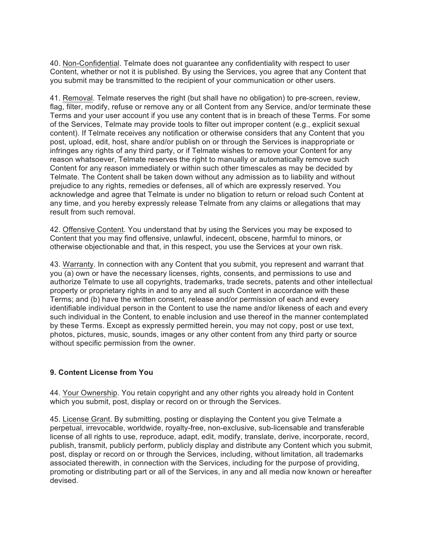40. Non-Confidential. Telmate does not guarantee any confidentiality with respect to user Content, whether or not it is published. By using the Services, you agree that any Content that you submit may be transmitted to the recipient of your communication or other users.

41. Removal. Telmate reserves the right (but shall have no obligation) to pre-screen, review, flag, filter, modify, refuse or remove any or all Content from any Service, and/or terminate these Terms and your user account if you use any content that is in breach of these Terms. For some of the Services, Telmate may provide tools to filter out improper content (e.g., explicit sexual content). If Telmate receives any notification or otherwise considers that any Content that you post, upload, edit, host, share and/or publish on or through the Services is inappropriate or infringes any rights of any third party, or if Telmate wishes to remove your Content for any reason whatsoever, Telmate reserves the right to manually or automatically remove such Content for any reason immediately or within such other timescales as may be decided by Telmate. The Content shall be taken down without any admission as to liability and without prejudice to any rights, remedies or defenses, all of which are expressly reserved. You acknowledge and agree that Telmate is under no bligation to return or reload such Content at any time, and you hereby expressly release Telmate from any claims or allegations that may result from such removal.

42. Offensive Content. You understand that by using the Services you may be exposed to Content that you may find offensive, unlawful, indecent, obscene, harmful to minors, or otherwise objectionable and that, in this respect, you use the Services at your own risk.

43. Warranty. In connection with any Content that you submit, you represent and warrant that you (a) own or have the necessary licenses, rights, consents, and permissions to use and authorize Telmate to use all copyrights, trademarks, trade secrets, patents and other intellectual property or proprietary rights in and to any and all such Content in accordance with these Terms; and (b) have the written consent, release and/or permission of each and every identifiable individual person in the Content to use the name and/or likeness of each and every such individual in the Content, to enable inclusion and use thereof in the manner contemplated by these Terms. Except as expressly permitted herein, you may not copy, post or use text, photos, pictures, music, sounds, images or any other content from any third party or source without specific permission from the owner.

### **9. Content License from You**

44. Your Ownership. You retain copyright and any other rights you already hold in Content which you submit, post, display or record on or through the Services.

45. License Grant. By submitting, posting or displaying the Content you give Telmate a perpetual, irrevocable, worldwide, royalty-free, non-exclusive, sub-licensable and transferable license of all rights to use, reproduce, adapt, edit, modify, translate, derive, incorporate, record, publish, transmit, publicly perform, publicly display and distribute any Content which you submit, post, display or record on or through the Services, including, without limitation, all trademarks associated therewith, in connection with the Services, including for the purpose of providing, promoting or distributing part or all of the Services, in any and all media now known or hereafter devised.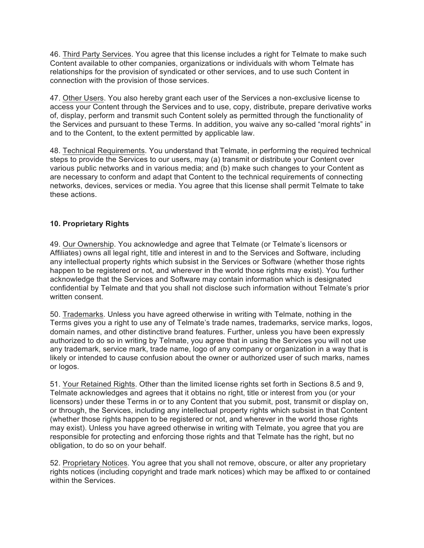46. Third Party Services. You agree that this license includes a right for Telmate to make such Content available to other companies, organizations or individuals with whom Telmate has relationships for the provision of syndicated or other services, and to use such Content in connection with the provision of those services.

47. Other Users. You also hereby grant each user of the Services a non-exclusive license to access your Content through the Services and to use, copy, distribute, prepare derivative works of, display, perform and transmit such Content solely as permitted through the functionality of the Services and pursuant to these Terms. In addition, you waive any so-called "moral rights" in and to the Content, to the extent permitted by applicable law.

48. Technical Requirements. You understand that Telmate, in performing the required technical steps to provide the Services to our users, may (a) transmit or distribute your Content over various public networks and in various media; and (b) make such changes to your Content as are necessary to conform and adapt that Content to the technical requirements of connecting networks, devices, services or media. You agree that this license shall permit Telmate to take these actions.

### **10. Proprietary Rights**

49. Our Ownership. You acknowledge and agree that Telmate (or Telmate's licensors or Affiliates) owns all legal right, title and interest in and to the Services and Software, including any intellectual property rights which subsist in the Services or Software (whether those rights happen to be registered or not, and wherever in the world those rights may exist). You further acknowledge that the Services and Software may contain information which is designated confidential by Telmate and that you shall not disclose such information without Telmate's prior written consent.

50. Trademarks. Unless you have agreed otherwise in writing with Telmate, nothing in the Terms gives you a right to use any of Telmate's trade names, trademarks, service marks, logos, domain names, and other distinctive brand features. Further, unless you have been expressly authorized to do so in writing by Telmate, you agree that in using the Services you will not use any trademark, service mark, trade name, logo of any company or organization in a way that is likely or intended to cause confusion about the owner or authorized user of such marks, names or logos.

51. Your Retained Rights. Other than the limited license rights set forth in Sections 8.5 and 9, Telmate acknowledges and agrees that it obtains no right, title or interest from you (or your licensors) under these Terms in or to any Content that you submit, post, transmit or display on, or through, the Services, including any intellectual property rights which subsist in that Content (whether those rights happen to be registered or not, and wherever in the world those rights may exist). Unless you have agreed otherwise in writing with Telmate, you agree that you are responsible for protecting and enforcing those rights and that Telmate has the right, but no obligation, to do so on your behalf.

52. Proprietary Notices. You agree that you shall not remove, obscure, or alter any proprietary rights notices (including copyright and trade mark notices) which may be affixed to or contained within the Services.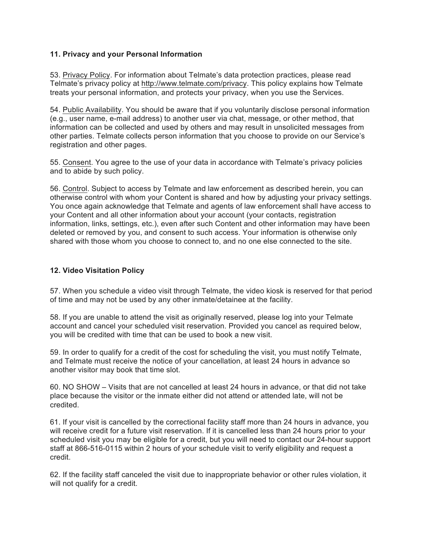### **11. Privacy and your Personal Information**

53. Privacy Policy. For information about Telmate's data protection practices, please read Telmate's privacy policy at http://www.telmate.com/privacy. This policy explains how Telmate treats your personal information, and protects your privacy, when you use the Services.

54. Public Availability. You should be aware that if you voluntarily disclose personal information (e.g., user name, e-mail address) to another user via chat, message, or other method, that information can be collected and used by others and may result in unsolicited messages from other parties. Telmate collects person information that you choose to provide on our Service's registration and other pages.

55. Consent. You agree to the use of your data in accordance with Telmate's privacy policies and to abide by such policy.

56. Control. Subject to access by Telmate and law enforcement as described herein, you can otherwise control with whom your Content is shared and how by adjusting your privacy settings. You once again acknowledge that Telmate and agents of law enforcement shall have access to your Content and all other information about your account (your contacts, registration information, links, settings, etc.), even after such Content and other information may have been deleted or removed by you, and consent to such access. Your information is otherwise only shared with those whom you choose to connect to, and no one else connected to the site.

#### **12. Video Visitation Policy**

57. When you schedule a video visit through Telmate, the video kiosk is reserved for that period of time and may not be used by any other inmate/detainee at the facility.

58. If you are unable to attend the visit as originally reserved, please log into your Telmate account and cancel your scheduled visit reservation. Provided you cancel as required below, you will be credited with time that can be used to book a new visit.

59. In order to qualify for a credit of the cost for scheduling the visit, you must notify Telmate, and Telmate must receive the notice of your cancellation, at least 24 hours in advance so another visitor may book that time slot.

60. NO SHOW – Visits that are not cancelled at least 24 hours in advance, or that did not take place because the visitor or the inmate either did not attend or attended late, will not be credited.

61. If your visit is cancelled by the correctional facility staff more than 24 hours in advance, you will receive credit for a future visit reservation. If it is cancelled less than 24 hours prior to your scheduled visit you may be eligible for a credit, but you will need to contact our 24-hour support staff at 866-516-0115 within 2 hours of your schedule visit to verify eligibility and request a credit.

62. If the facility staff canceled the visit due to inappropriate behavior or other rules violation, it will not qualify for a credit.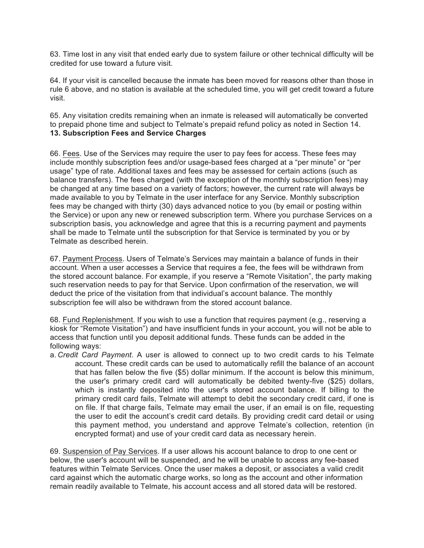63. Time lost in any visit that ended early due to system failure or other technical difficulty will be credited for use toward a future visit.

64. If your visit is cancelled because the inmate has been moved for reasons other than those in rule 6 above, and no station is available at the scheduled time, you will get credit toward a future visit.

65. Any visitation credits remaining when an inmate is released will automatically be converted to prepaid phone time and subject to Telmate's prepaid refund policy as noted in Section 14. **13. Subscription Fees and Service Charges**

66. Fees. Use of the Services may require the user to pay fees for access. These fees may include monthly subscription fees and/or usage-based fees charged at a "per minute" or "per usage" type of rate. Additional taxes and fees may be assessed for certain actions (such as balance transfers). The fees charged (with the exception of the monthly subscription fees) may be changed at any time based on a variety of factors; however, the current rate will always be made available to you by Telmate in the user interface for any Service. Monthly subscription fees may be changed with thirty (30) days advanced notice to you (by email or posting within the Service) or upon any new or renewed subscription term. Where you purchase Services on a subscription basis, you acknowledge and agree that this is a recurring payment and payments shall be made to Telmate until the subscription for that Service is terminated by you or by Telmate as described herein.

67. Payment Process. Users of Telmate's Services may maintain a balance of funds in their account. When a user accesses a Service that requires a fee, the fees will be withdrawn from the stored account balance. For example, if you reserve a "Remote Visitation", the party making such reservation needs to pay for that Service. Upon confirmation of the reservation, we will deduct the price of the visitation from that individual's account balance. The monthly subscription fee will also be withdrawn from the stored account balance.

68. Fund Replenishment. If you wish to use a function that requires payment (e.g., reserving a kiosk for "Remote Visitation") and have insufficient funds in your account, you will not be able to access that function until you deposit additional funds. These funds can be added in the following ways:

a. *Credit Card Payment*. A user is allowed to connect up to two credit cards to his Telmate account. These credit cards can be used to automatically refill the balance of an account that has fallen below the five (\$5) dollar minimum. If the account is below this minimum, the user's primary credit card will automatically be debited twenty-five (\$25) dollars, which is instantly deposited into the user's stored account balance. If billing to the primary credit card fails, Telmate will attempt to debit the secondary credit card, if one is on file. If that charge fails, Telmate may email the user, if an email is on file, requesting the user to edit the account's credit card details. By providing credit card detail or using this payment method, you understand and approve Telmate's collection, retention (in encrypted format) and use of your credit card data as necessary herein.

69. Suspension of Pay Services. If a user allows his account balance to drop to one cent or below, the user's account will be suspended, and he will be unable to access any fee-based features within Telmate Services. Once the user makes a deposit, or associates a valid credit card against which the automatic charge works, so long as the account and other information remain readily available to Telmate, his account access and all stored data will be restored.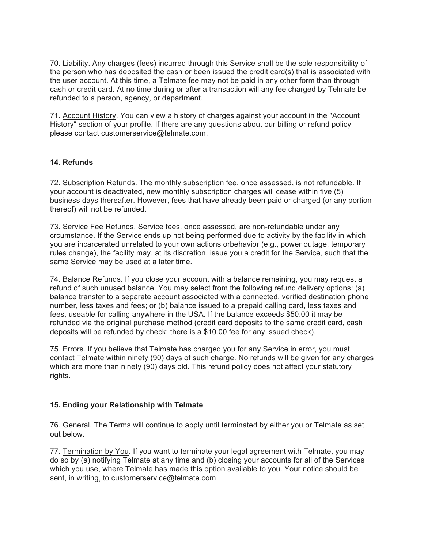70. Liability. Any charges (fees) incurred through this Service shall be the sole responsibility of the person who has deposited the cash or been issued the credit card(s) that is associated with the user account. At this time, a Telmate fee may not be paid in any other form than through cash or credit card. At no time during or after a transaction will any fee charged by Telmate be refunded to a person, agency, or department.

71. Account History. You can view a history of charges against your account in the "Account History" section of your profile. If there are any questions about our billing or refund policy please contact customerservice@telmate.com.

### **14. Refunds**

72. Subscription Refunds. The monthly subscription fee, once assessed, is not refundable. If your account is deactivated, new monthly subscription charges will cease within five (5) business days thereafter. However, fees that have already been paid or charged (or any portion thereof) will not be refunded.

73. Service Fee Refunds. Service fees, once assessed, are non-refundable under any crcumstance. If the Service ends up not being performed due to activity by the facility in which you are incarcerated unrelated to your own actions orbehavior (e.g., power outage, temporary rules change), the facility may, at its discretion, issue you a credit for the Service, such that the same Service may be used at a later time.

74. Balance Refunds. If you close your account with a balance remaining, you may request a refund of such unused balance. You may select from the following refund delivery options: (a) balance transfer to a separate account associated with a connected, verified destination phone number, less taxes and fees; or (b) balance issued to a prepaid calling card, less taxes and fees, useable for calling anywhere in the USA. If the balance exceeds \$50.00 it may be refunded via the original purchase method (credit card deposits to the same credit card, cash deposits will be refunded by check; there is a \$10.00 fee for any issued check).

75. Errors. If you believe that Telmate has charged you for any Service in error, you must contact Telmate within ninety (90) days of such charge. No refunds will be given for any charges which are more than ninety (90) days old. This refund policy does not affect your statutory rights.

### **15. Ending your Relationship with Telmate**

76. General. The Terms will continue to apply until terminated by either you or Telmate as set out below.

77. Termination by You. If you want to terminate your legal agreement with Telmate, you may do so by (a) notifying Telmate at any time and (b) closing your accounts for all of the Services which you use, where Telmate has made this option available to you. Your notice should be sent, in writing, to customerservice@telmate.com.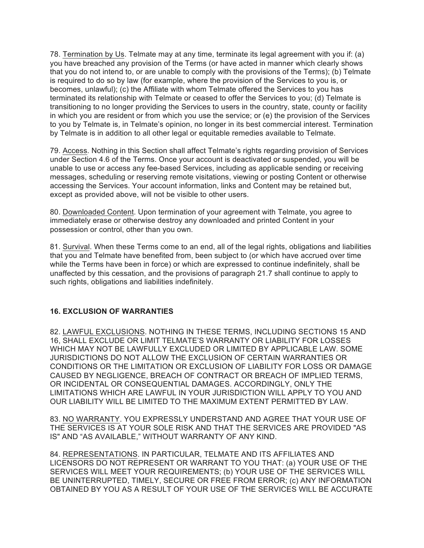78. Termination by Us. Telmate may at any time, terminate its legal agreement with you if: (a) you have breached any provision of the Terms (or have acted in manner which clearly shows that you do not intend to, or are unable to comply with the provisions of the Terms); (b) Telmate is required to do so by law (for example, where the provision of the Services to you is, or becomes, unlawful); (c) the Affiliate with whom Telmate offered the Services to you has terminated its relationship with Telmate or ceased to offer the Services to you; (d) Telmate is transitioning to no longer providing the Services to users in the country, state, county or facility in which you are resident or from which you use the service; or (e) the provision of the Services to you by Telmate is, in Telmate's opinion, no longer in its best commercial interest. Termination by Telmate is in addition to all other legal or equitable remedies available to Telmate.

79. Access. Nothing in this Section shall affect Telmate's rights regarding provision of Services under Section 4.6 of the Terms. Once your account is deactivated or suspended, you will be unable to use or access any fee-based Services, including as applicable sending or receiving messages, scheduling or reserving remote visitations, viewing or posting Content or otherwise accessing the Services. Your account information, links and Content may be retained but, except as provided above, will not be visible to other users.

80. Downloaded Content. Upon termination of your agreement with Telmate, you agree to immediately erase or otherwise destroy any downloaded and printed Content in your possession or control, other than you own.

81. Survival. When these Terms come to an end, all of the legal rights, obligations and liabilities that you and Telmate have benefited from, been subject to (or which have accrued over time while the Terms have been in force) or which are expressed to continue indefinitely, shall be unaffected by this cessation, and the provisions of paragraph 21.7 shall continue to apply to such rights, obligations and liabilities indefinitely.

### **16. EXCLUSION OF WARRANTIES**

82. LAWFUL EXCLUSIONS. NOTHING IN THESE TERMS, INCLUDING SECTIONS 15 AND 16, SHALL EXCLUDE OR LIMIT TELMATE'S WARRANTY OR LIABILITY FOR LOSSES WHICH MAY NOT BE LAWFULLY EXCLUDED OR LIMITED BY APPLICABLE LAW. SOME JURISDICTIONS DO NOT ALLOW THE EXCLUSION OF CERTAIN WARRANTIES OR CONDITIONS OR THE LIMITATION OR EXCLUSION OF LIABILITY FOR LOSS OR DAMAGE CAUSED BY NEGLIGENCE, BREACH OF CONTRACT OR BREACH OF IMPLIED TERMS, OR INCIDENTAL OR CONSEQUENTIAL DAMAGES. ACCORDINGLY, ONLY THE LIMITATIONS WHICH ARE LAWFUL IN YOUR JURISDICTION WILL APPLY TO YOU AND OUR LIABILITY WILL BE LIMITED TO THE MAXIMUM EXTENT PERMITTED BY LAW.

83. NO WARRANTY. YOU EXPRESSLY UNDERSTAND AND AGREE THAT YOUR USE OF THE SERVICES IS AT YOUR SOLE RISK AND THAT THE SERVICES ARE PROVIDED "AS IS" AND "AS AVAILABLE," WITHOUT WARRANTY OF ANY KIND.

84. REPRESENTATIONS. IN PARTICULAR, TELMATE AND ITS AFFILIATES AND LICENSORS DO NOT REPRESENT OR WARRANT TO YOU THAT: (a) YOUR USE OF THE SERVICES WILL MEET YOUR REQUIREMENTS; (b) YOUR USE OF THE SERVICES WILL BE UNINTERRUPTED, TIMELY, SECURE OR FREE FROM ERROR; (c) ANY INFORMATION OBTAINED BY YOU AS A RESULT OF YOUR USE OF THE SERVICES WILL BE ACCURATE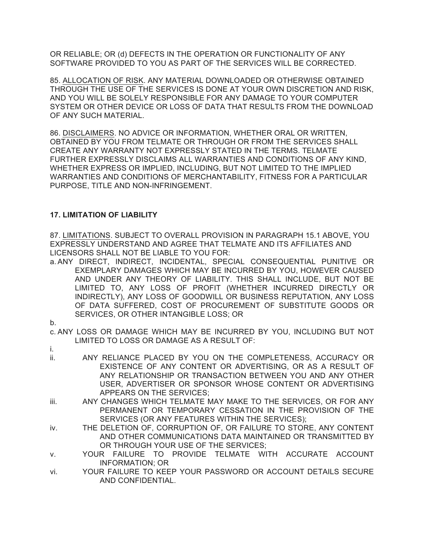OR RELIABLE; OR (d) DEFECTS IN THE OPERATION OR FUNCTIONALITY OF ANY SOFTWARE PROVIDED TO YOU AS PART OF THE SERVICES WILL BE CORRECTED.

85. ALLOCATION OF RISK. ANY MATERIAL DOWNLOADED OR OTHERWISE OBTAINED THROUGH THE USE OF THE SERVICES IS DONE AT YOUR OWN DISCRETION AND RISK, AND YOU WILL BE SOLELY RESPONSIBLE FOR ANY DAMAGE TO YOUR COMPUTER SYSTEM OR OTHER DEVICE OR LOSS OF DATA THAT RESULTS FROM THE DOWNLOAD OF ANY SUCH MATERIAL.

86. DISCLAIMERS. NO ADVICE OR INFORMATION, WHETHER ORAL OR WRITTEN, OBTAINED BY YOU FROM TELMATE OR THROUGH OR FROM THE SERVICES SHALL CREATE ANY WARRANTY NOT EXPRESSLY STATED IN THE TERMS. TELMATE FURTHER EXPRESSLY DISCLAIMS ALL WARRANTIES AND CONDITIONS OF ANY KIND, WHETHER EXPRESS OR IMPLIED, INCLUDING, BUT NOT LIMITED TO THE IMPLIED WARRANTIES AND CONDITIONS OF MERCHANTABILITY, FITNESS FOR A PARTICULAR PURPOSE, TITLE AND NON-INFRINGEMENT.

# **17. LIMITATION OF LIABILITY**

87. LIMITATIONS. SUBJECT TO OVERALL PROVISION IN PARAGRAPH 15.1 ABOVE, YOU EXPRESSLY UNDERSTAND AND AGREE THAT TELMATE AND ITS AFFILIATES AND LICENSORS SHALL NOT BE LIABLE TO YOU FOR:

- a. ANY DIRECT, INDIRECT, INCIDENTAL, SPECIAL CONSEQUENTIAL PUNITIVE OR EXEMPLARY DAMAGES WHICH MAY BE INCURRED BY YOU, HOWEVER CAUSED AND UNDER ANY THEORY OF LIABILITY. THIS SHALL INCLUDE, BUT NOT BE LIMITED TO, ANY LOSS OF PROFIT (WHETHER INCURRED DIRECTLY OR INDIRECTLY), ANY LOSS OF GOODWILL OR BUSINESS REPUTATION, ANY LOSS OF DATA SUFFERED, COST OF PROCUREMENT OF SUBSTITUTE GOODS OR SERVICES, OR OTHER INTANGIBLE LOSS; OR
- b.
- c. ANY LOSS OR DAMAGE WHICH MAY BE INCURRED BY YOU, INCLUDING BUT NOT LIMITED TO LOSS OR DAMAGE AS A RESULT OF:
- i.
- ii. ANY RELIANCE PLACED BY YOU ON THE COMPLETENESS, ACCURACY OR EXISTENCE OF ANY CONTENT OR ADVERTISING, OR AS A RESULT OF ANY RELATIONSHIP OR TRANSACTION BETWEEN YOU AND ANY OTHER USER, ADVERTISER OR SPONSOR WHOSE CONTENT OR ADVERTISING APPEARS ON THE SERVICES;
- iii. ANY CHANGES WHICH TELMATE MAY MAKE TO THE SERVICES, OR FOR ANY PERMANENT OR TEMPORARY CESSATION IN THE PROVISION OF THE SERVICES (OR ANY FEATURES WITHIN THE SERVICES);
- iv. THE DELETION OF, CORRUPTION OF, OR FAILURE TO STORE, ANY CONTENT AND OTHER COMMUNICATIONS DATA MAINTAINED OR TRANSMITTED BY OR THROUGH YOUR USE OF THE SERVICES;
- v. YOUR FAILURE TO PROVIDE TELMATE WITH ACCURATE ACCOUNT INFORMATION; OR
- vi. YOUR FAILURE TO KEEP YOUR PASSWORD OR ACCOUNT DETAILS SECURE AND CONFIDENTIAL.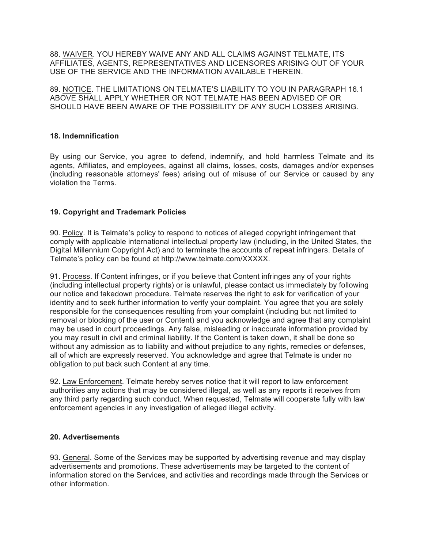88. WAIVER. YOU HEREBY WAIVE ANY AND ALL CLAIMS AGAINST TELMATE, ITS AFFILIATES, AGENTS, REPRESENTATIVES AND LICENSORES ARISING OUT OF YOUR USE OF THE SERVICE AND THE INFORMATION AVAILABLE THEREIN.

89. NOTICE. THE LIMITATIONS ON TELMATE'S LIABILITY TO YOU IN PARAGRAPH 16.1 ABOVE SHALL APPLY WHETHER OR NOT TELMATE HAS BEEN ADVISED OF OR SHOULD HAVE BEEN AWARE OF THE POSSIBILITY OF ANY SUCH LOSSES ARISING.

#### **18. Indemnification**

By using our Service, you agree to defend, indemnify, and hold harmless Telmate and its agents, Affiliates, and employees, against all claims, losses, costs, damages and/or expenses (including reasonable attorneys' fees) arising out of misuse of our Service or caused by any violation the Terms.

### **19. Copyright and Trademark Policies**

90. Policy. It is Telmate's policy to respond to notices of alleged copyright infringement that comply with applicable international intellectual property law (including, in the United States, the Digital Millennium Copyright Act) and to terminate the accounts of repeat infringers. Details of Telmate's policy can be found at http://www.telmate.com/XXXXX.

91. Process. If Content infringes, or if you believe that Content infringes any of your rights (including intellectual property rights) or is unlawful, please contact us immediately by following our notice and takedown procedure. Telmate reserves the right to ask for verification of your identity and to seek further information to verify your complaint. You agree that you are solely responsible for the consequences resulting from your complaint (including but not limited to removal or blocking of the user or Content) and you acknowledge and agree that any complaint may be used in court proceedings. Any false, misleading or inaccurate information provided by you may result in civil and criminal liability. If the Content is taken down, it shall be done so without any admission as to liability and without prejudice to any rights, remedies or defenses, all of which are expressly reserved. You acknowledge and agree that Telmate is under no obligation to put back such Content at any time.

92. Law Enforcement. Telmate hereby serves notice that it will report to law enforcement authorities any actions that may be considered illegal, as well as any reports it receives from any third party regarding such conduct. When requested, Telmate will cooperate fully with law enforcement agencies in any investigation of alleged illegal activity.

#### **20. Advertisements**

93. General. Some of the Services may be supported by advertising revenue and may display advertisements and promotions. These advertisements may be targeted to the content of information stored on the Services, and activities and recordings made through the Services or other information.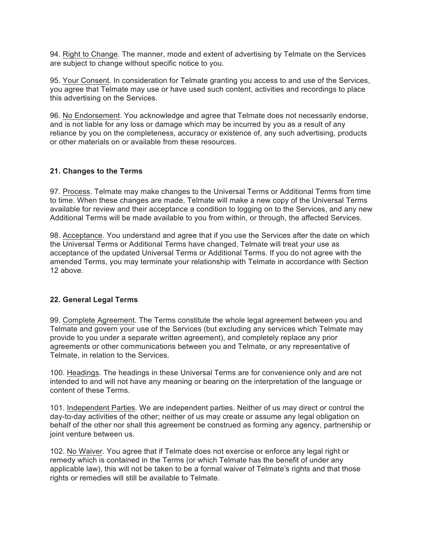94. Right to Change. The manner, mode and extent of advertising by Telmate on the Services are subject to change without specific notice to you.

95. Your Consent. In consideration for Telmate granting you access to and use of the Services, you agree that Telmate may use or have used such content, activities and recordings to place this advertising on the Services.

96. No Endorsement. You acknowledge and agree that Telmate does not necessarily endorse, and is not liable for any loss or damage which may be incurred by you as a result of any reliance by you on the completeness, accuracy or existence of, any such advertising, products or other materials on or available from these resources.

#### **21. Changes to the Terms**

97. Process. Telmate may make changes to the Universal Terms or Additional Terms from time to time. When these changes are made, Telmate will make a new copy of the Universal Terms available for review and their acceptance a condition to logging on to the Services, and any new Additional Terms will be made available to you from within, or through, the affected Services.

98. Acceptance. You understand and agree that if you use the Services after the date on which the Universal Terms or Additional Terms have changed, Telmate will treat your use as acceptance of the updated Universal Terms or Additional Terms. If you do not agree with the amended Terms, you may terminate your relationship with Telmate in accordance with Section 12 above.

### **22. General Legal Terms**

99. Complete Agreement. The Terms constitute the whole legal agreement between you and Telmate and govern your use of the Services (but excluding any services which Telmate may provide to you under a separate written agreement), and completely replace any prior agreements or other communications between you and Telmate, or any representative of Telmate, in relation to the Services.

100. Headings. The headings in these Universal Terms are for convenience only and are not intended to and will not have any meaning or bearing on the interpretation of the language or content of these Terms.

101. Independent Parties. We are independent parties. Neither of us may direct or control the day-to-day activities of the other; neither of us may create or assume any legal obligation on behalf of the other nor shall this agreement be construed as forming any agency, partnership or joint venture between us.

102. No Waiver. You agree that if Telmate does not exercise or enforce any legal right or remedy which is contained in the Terms (or which Telmate has the benefit of under any applicable law), this will not be taken to be a formal waiver of Telmate's rights and that those rights or remedies will still be available to Telmate.